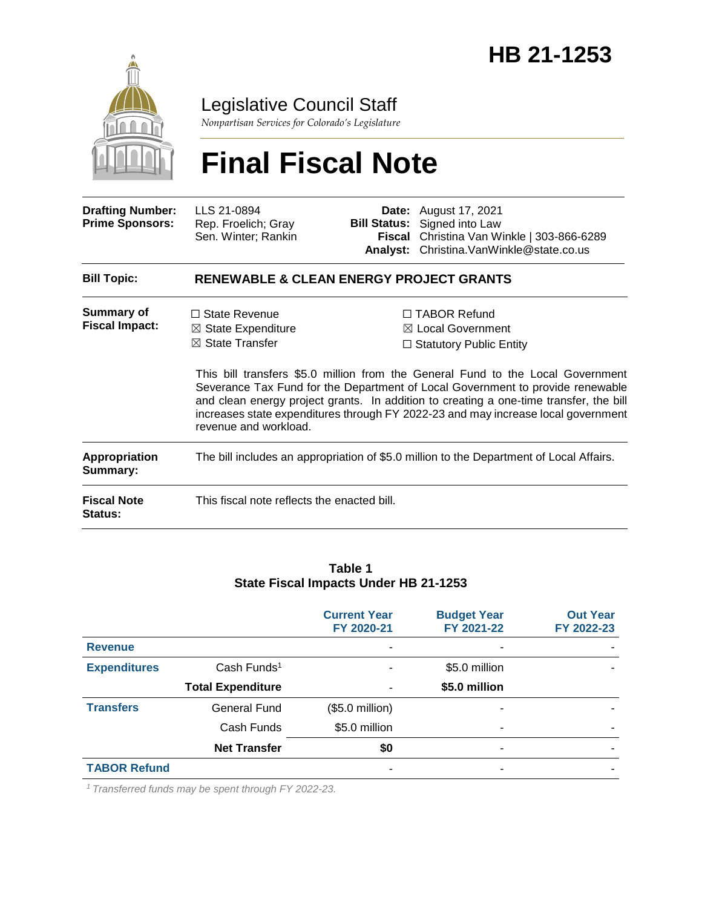

### Legislative Council Staff

*Nonpartisan Services for Colorado's Legislature*

# **Final Fiscal Note**

| <b>Drafting Number:</b><br><b>Prime Sponsors:</b> | LLS 21-0894<br>Rep. Froelich; Gray<br>Sen. Winter; Rankin                                                    |  | <b>Date:</b> August 17, 2021<br><b>Bill Status:</b> Signed into Law<br>Fiscal Christina Van Winkle   303-866-6289<br>Analyst: Christina.VanWinkle@state.co.us                                                                                                                                                                                                                                                                             |  |  |
|---------------------------------------------------|--------------------------------------------------------------------------------------------------------------|--|-------------------------------------------------------------------------------------------------------------------------------------------------------------------------------------------------------------------------------------------------------------------------------------------------------------------------------------------------------------------------------------------------------------------------------------------|--|--|
| <b>Bill Topic:</b>                                | <b>RENEWABLE &amp; CLEAN ENERGY PROJECT GRANTS</b>                                                           |  |                                                                                                                                                                                                                                                                                                                                                                                                                                           |  |  |
| Summary of<br><b>Fiscal Impact:</b>               | $\Box$ State Revenue<br>$\boxtimes$ State Expenditure<br>$\boxtimes$ State Transfer<br>revenue and workload. |  | $\Box$ TABOR Refund<br>$\boxtimes$ Local Government<br>$\Box$ Statutory Public Entity<br>This bill transfers \$5.0 million from the General Fund to the Local Government<br>Severance Tax Fund for the Department of Local Government to provide renewable<br>and clean energy project grants. In addition to creating a one-time transfer, the bill<br>increases state expenditures through FY 2022-23 and may increase local government |  |  |
| <b>Appropriation</b><br>Summary:                  | The bill includes an appropriation of \$5.0 million to the Department of Local Affairs.                      |  |                                                                                                                                                                                                                                                                                                                                                                                                                                           |  |  |
| <b>Fiscal Note</b><br>Status:                     | This fiscal note reflects the enacted bill.                                                                  |  |                                                                                                                                                                                                                                                                                                                                                                                                                                           |  |  |

#### **Table 1 State Fiscal Impacts Under HB 21-1253**

|                     |                          | <b>Current Year</b><br>FY 2020-21 | <b>Budget Year</b><br>FY 2021-22 | <b>Out Year</b><br>FY 2022-23 |
|---------------------|--------------------------|-----------------------------------|----------------------------------|-------------------------------|
| <b>Revenue</b>      |                          |                                   |                                  |                               |
| <b>Expenditures</b> | Cash Funds <sup>1</sup>  |                                   | \$5.0 million                    |                               |
|                     | <b>Total Expenditure</b> | -                                 | \$5.0 million                    |                               |
| <b>Transfers</b>    | <b>General Fund</b>      | $($5.0$ million)                  | ۰                                |                               |
|                     | Cash Funds               | \$5.0 million                     | ۰                                |                               |
|                     | <b>Net Transfer</b>      | \$0                               | ۰                                |                               |
| <b>TABOR Refund</b> |                          |                                   |                                  |                               |

*1 Transferred funds may be spent through FY 2022-23.*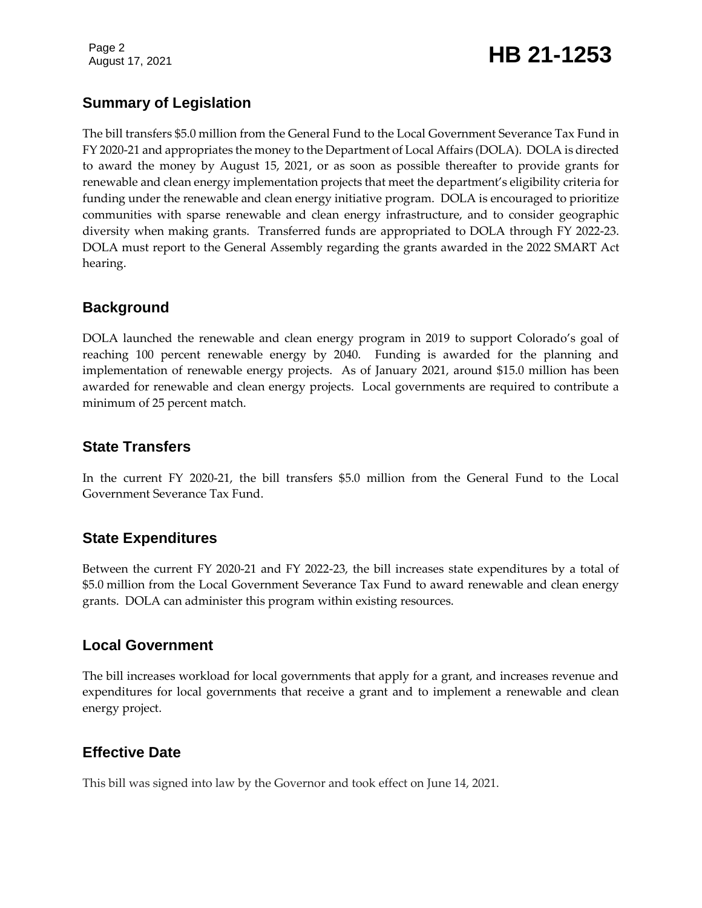Page 2

## August 17, 2021 **HB 21-1253**

#### **Summary of Legislation**

The bill transfers \$5.0 million from the General Fund to the Local Government Severance Tax Fund in FY 2020-21 and appropriates the money to the Department of Local Affairs (DOLA). DOLA is directed to award the money by August 15, 2021, or as soon as possible thereafter to provide grants for renewable and clean energy implementation projects that meet the department's eligibility criteria for funding under the renewable and clean energy initiative program. DOLA is encouraged to prioritize communities with sparse renewable and clean energy infrastructure, and to consider geographic diversity when making grants. Transferred funds are appropriated to DOLA through FY 2022-23. DOLA must report to the General Assembly regarding the grants awarded in the 2022 SMART Act hearing.

#### **Background**

DOLA launched the renewable and clean energy program in 2019 to support Colorado's goal of reaching 100 percent renewable energy by 2040. Funding is awarded for the planning and implementation of renewable energy projects. As of January 2021, around \$15.0 million has been awarded for renewable and clean energy projects. Local governments are required to contribute a minimum of 25 percent match.

#### **State Transfers**

In the current FY 2020-21, the bill transfers \$5.0 million from the General Fund to the Local Government Severance Tax Fund.

#### **State Expenditures**

Between the current FY 2020-21 and FY 2022-23, the bill increases state expenditures by a total of \$5.0 million from the Local Government Severance Tax Fund to award renewable and clean energy grants. DOLA can administer this program within existing resources.

#### **Local Government**

The bill increases workload for local governments that apply for a grant, and increases revenue and expenditures for local governments that receive a grant and to implement a renewable and clean energy project.

#### **Effective Date**

This bill was signed into law by the Governor and took effect on June 14, 2021.